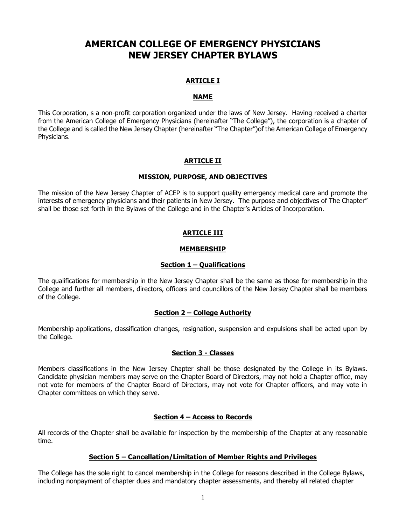# **AMERICAN COLLEGE OF EMERGENCY PHYSICIANS NEW JERSEY CHAPTER BYLAWS**

# **ARTICLE I**

### **NAME**

This Corporation, s a non-profit corporation organized under the laws of New Jersey. Having received a charter from the American College of Emergency Physicians (hereinafter "The College"), the corporation is a chapter of the College and is called the New Jersey Chapter (hereinafter "The Chapter")of the American College of Emergency Physicians.

# **ARTICLE II**

#### **MISSION, PURPOSE, AND OBJECTIVES**

The mission of the New Jersey Chapter of ACEP is to support quality emergency medical care and promote the interests of emergency physicians and their patients in New Jersey. The purpose and objectives of The Chapter" shall be those set forth in the Bylaws of the College and in the Chapter's Articles of Incorporation.

# **ARTICLE III**

#### **MEMBERSHIP**

#### **Section 1 – Qualifications**

The qualifications for membership in the New Jersey Chapter shall be the same as those for membership in the College and further all members, directors, officers and councillors of the New Jersey Chapter shall be members of the College.

#### **Section 2 – College Authority**

Membership applications, classification changes, resignation, suspension and expulsions shall be acted upon by the College.

#### **Section 3 - Classes**

Members classifications in the New Jersey Chapter shall be those designated by the College in its Bylaws. Candidate physician members may serve on the Chapter Board of Directors, may not hold a Chapter office, may not vote for members of the Chapter Board of Directors, may not vote for Chapter officers, and may vote in Chapter committees on which they serve.

### **Section 4 – Access to Records**

All records of the Chapter shall be available for inspection by the membership of the Chapter at any reasonable time.

### **Section 5 – Cancellation/Limitation of Member Rights and Privileges**

The College has the sole right to cancel membership in the College for reasons described in the College Bylaws, including nonpayment of chapter dues and mandatory chapter assessments, and thereby all related chapter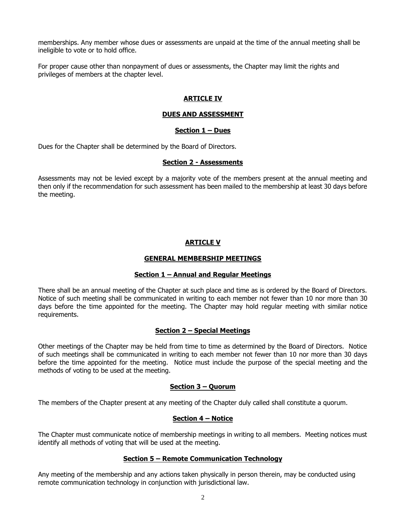memberships. Any member whose dues or assessments are unpaid at the time of the annual meeting shall be ineligible to vote or to hold office.

For proper cause other than nonpayment of dues or assessments, the Chapter may limit the rights and privileges of members at the chapter level.

# **ARTICLE IV**

### **DUES AND ASSESSMENT**

### **Section 1 – Dues**

Dues for the Chapter shall be determined by the Board of Directors.

### **Section 2 - Assessments**

Assessments may not be levied except by a majority vote of the members present at the annual meeting and then only if the recommendation for such assessment has been mailed to the membership at least 30 days before the meeting.

# **ARTICLE V**

### **GENERAL MEMBERSHIP MEETINGS**

### **Section 1 – Annual and Regular Meetings**

There shall be an annual meeting of the Chapter at such place and time as is ordered by the Board of Directors. Notice of such meeting shall be communicated in writing to each member not fewer than 10 nor more than 30 days before the time appointed for the meeting. The Chapter may hold regular meeting with similar notice requirements.

### **Section 2 – Special Meetings**

Other meetings of the Chapter may be held from time to time as determined by the Board of Directors. Notice of such meetings shall be communicated in writing to each member not fewer than 10 nor more than 30 days before the time appointed for the meeting. Notice must include the purpose of the special meeting and the methods of voting to be used at the meeting.

### **Section 3 – Quorum**

The members of the Chapter present at any meeting of the Chapter duly called shall constitute a quorum.

### **Section 4 – Notice**

The Chapter must communicate notice of membership meetings in writing to all members. Meeting notices must identify all methods of voting that will be used at the meeting.

### **Section 5 – Remote Communication Technology**

Any meeting of the membership and any actions taken physically in person therein, may be conducted using remote communication technology in conjunction with jurisdictional law.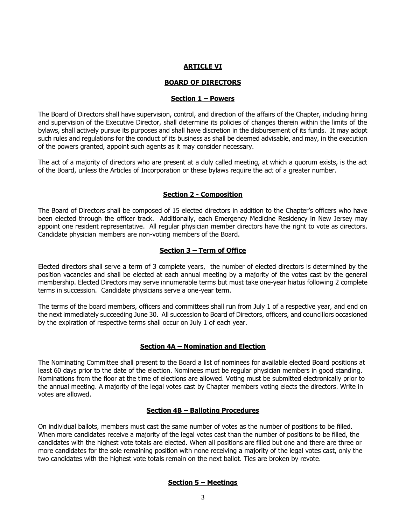#### **ARTICLE VI**

#### **BOARD OF DIRECTORS**

#### **Section 1 – Powers**

The Board of Directors shall have supervision, control, and direction of the affairs of the Chapter, including hiring and supervision of the Executive Director, shall determine its policies of changes therein within the limits of the bylaws, shall actively pursue its purposes and shall have discretion in the disbursement of its funds. It may adopt such rules and regulations for the conduct of its business as shall be deemed advisable, and may, in the execution of the powers granted, appoint such agents as it may consider necessary.

The act of a majority of directors who are present at a duly called meeting, at which a quorum exists, is the act of the Board, unless the Articles of Incorporation or these bylaws require the act of a greater number.

#### **Section 2 - Composition**

The Board of Directors shall be composed of 15 elected directors in addition to the Chapter's officers who have been elected through the officer track. Additionally, each Emergency Medicine Residency in New Jersey may appoint one resident representative. All regular physician member directors have the right to vote as directors. Candidate physician members are non-voting members of the Board.

### **Section 3 – Term of Office**

Elected directors shall serve a term of 3 complete years, the number of elected directors is determined by the position vacancies and shall be elected at each annual meeting by a majority of the votes cast by the general membership. Elected Directors may serve innumerable terms but must take one-year hiatus following 2 complete terms in succession. Candidate physicians serve a one-year term.

The terms of the board members, officers and committees shall run from July 1 of a respective year, and end on the next immediately succeeding June 30. All succession to Board of Directors, officers, and councillors occasioned by the expiration of respective terms shall occur on July 1 of each year.

### **Section 4A – Nomination and Election**

The Nominating Committee shall present to the Board a list of nominees for available elected Board positions at least 60 days prior to the date of the election. Nominees must be regular physician members in good standing. Nominations from the floor at the time of elections are allowed. Voting must be submitted electronically prior to the annual meeting. A majority of the legal votes cast by Chapter members voting elects the directors. Write in votes are allowed.

#### **Section 4B – Balloting Procedures**

On individual ballots, members must cast the same number of votes as the number of positions to be filled. When more candidates receive a majority of the legal votes cast than the number of positions to be filled, the candidates with the highest vote totals are elected. When all positions are filled but one and there are three or more candidates for the sole remaining position with none receiving a majority of the legal votes cast, only the two candidates with the highest vote totals remain on the next ballot. Ties are broken by revote.

### **Section 5 – Meetings**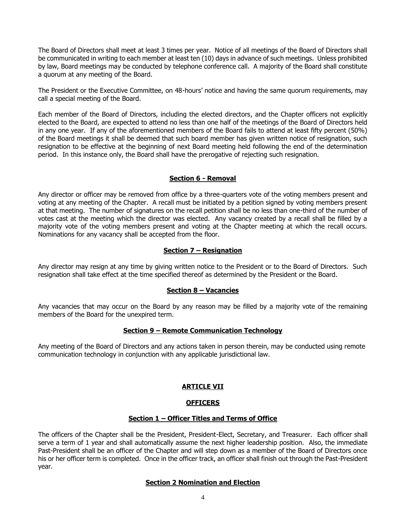The Board of Directors shall meet at least 3 times per year. Notice of all meetings of the Board of Directors shall be communicated in writing to each member at least ten (10) days in advance of such meetings. Unless prohibited by law, Board meetings may be conducted by telephone conference call. A majority of the Board shall constitute a quorum at any meeting of the Board.

The President or the Executive Committee, on 48-hours' notice and having the same quorum requirements, may call a special meeting of the Board.

Each member of the Board of Directors, including the elected directors, and the Chapter officers not explicitly elected to the Board, are expected to attend no less than one half of the meetings of the Board of Directors held in any one year. If any of the aforementioned members of the Board fails to attend at least fifty percent (50%) of the Board meetings it shall be deemed that such board member has given written notice of resignation, such resignation to be effective at the beginning of next Board meeting held following the end of the determination period. In this instance only, the Board shall have the prerogative of rejecting such resignation.

### **Section 6 - Removal**

Any director or officer may be removed from office by a three-quarters vote of the voting members present and voting at any meeting of the Chapter. A recall must be initiated by a petition signed by voting members present at that meeting. The number of signatures on the recall petition shall be no less than one-third of the number of votes cast at the meeting which the director was elected. Any vacancy created by a recall shall be filled by a majority vote of the voting members present and voting at the Chapter meeting at which the recall occurs. Nominations for any vacancy shall be accepted from the floor.

### **Section 7 – Resignation**

Any director may resign at any time by giving written notice to the President or to the Board of Directors. Such resignation shall take effect at the time specified thereof as determined by the President or the Board.

### **Section 8 – Vacancies**

Any vacancies that may occur on the Board by any reason may be filled by a majority vote of the remaining members of the Board for the unexpired term.

### **Section 9 – Remote Communication Technology**

Any meeting of the Board of Directors and any actions taken in person therein, may be conducted using remote communication technology in conjunction with any applicable jurisdictional law.

# **ARTICLE VII**

#### **OFFICERS**

#### **Section 1 – Officer Titles and Terms of Office**

The officers of the Chapter shall be the President, President-Elect, Secretary, and Treasurer. Each officer shall serve a term of 1 year and shall automatically assume the next higher leadership position. Also, the immediate Past-President shall be an officer of the Chapter and will step down as a member of the Board of Directors once his or her officer term is completed. Once in the officer track, an officer shall finish out through the Past-President year.

### **Section 2 Nomination and Election**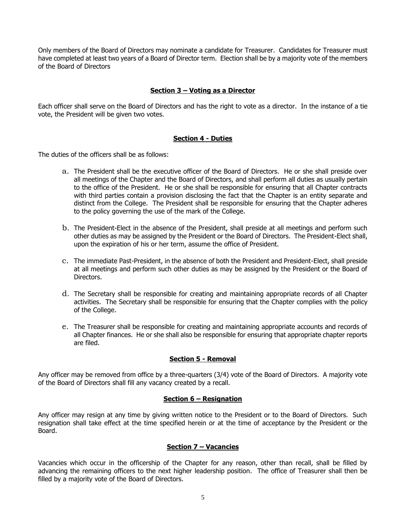Only members of the Board of Directors may nominate a candidate for Treasurer. Candidates for Treasurer must have completed at least two years of a Board of Director term. Election shall be by a majority vote of the members of the Board of Directors

### **Section 3 – Voting as a Director**

Each officer shall serve on the Board of Directors and has the right to vote as a director. In the instance of a tie vote, the President will be given two votes.

### **Section 4 - Duties**

The duties of the officers shall be as follows:

- a. The President shall be the executive officer of the Board of Directors. He or she shall preside over all meetings of the Chapter and the Board of Directors, and shall perform all duties as usually pertain to the office of the President. He or she shall be responsible for ensuring that all Chapter contracts with third parties contain a provision disclosing the fact that the Chapter is an entity separate and distinct from the College. The President shall be responsible for ensuring that the Chapter adheres to the policy governing the use of the mark of the College.
- b. The President-Elect in the absence of the President, shall preside at all meetings and perform such other duties as may be assigned by the President or the Board of Directors. The President-Elect shall, upon the expiration of his or her term, assume the office of President.
- c. The immediate Past-President, in the absence of both the President and President-Elect, shall preside at all meetings and perform such other duties as may be assigned by the President or the Board of Directors.
- d. The Secretary shall be responsible for creating and maintaining appropriate records of all Chapter activities. The Secretary shall be responsible for ensuring that the Chapter complies with the policy of the College.
- e. The Treasurer shall be responsible for creating and maintaining appropriate accounts and records of all Chapter finances. He or she shall also be responsible for ensuring that appropriate chapter reports are filed.

### **Section 5 - Removal**

Any officer may be removed from office by a three-quarters (3/4) vote of the Board of Directors. A majority vote of the Board of Directors shall fill any vacancy created by a recall.

### **Section 6 – Resignation**

Any officer may resign at any time by giving written notice to the President or to the Board of Directors. Such resignation shall take effect at the time specified herein or at the time of acceptance by the President or the Board.

### **Section 7 – Vacancies**

Vacancies which occur in the officership of the Chapter for any reason, other than recall, shall be filled by advancing the remaining officers to the next higher leadership position. The office of Treasurer shall then be filled by a majority vote of the Board of Directors.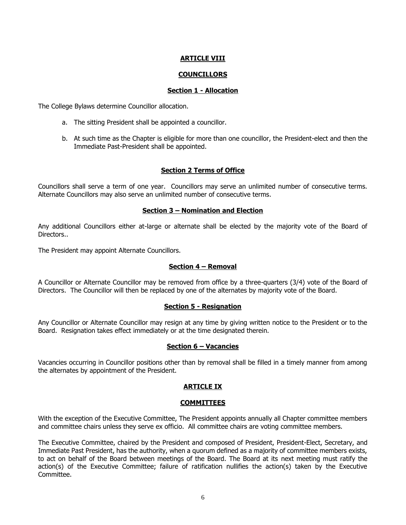# **ARTICLE VIII**

# **COUNCILLORS**

### **Section 1 - Allocation**

The College Bylaws determine Councillor allocation.

- a. The sitting President shall be appointed a councillor.
- b. At such time as the Chapter is eligible for more than one councillor, the President-elect and then the Immediate Past-President shall be appointed.

#### **Section 2 Terms of Office**

Councillors shall serve a term of one year. Councillors may serve an unlimited number of consecutive terms. Alternate Councillors may also serve an unlimited number of consecutive terms.

### **Section 3 – Nomination and Election**

Any additional Councillors either at-large or alternate shall be elected by the majority vote of the Board of Directors..

The President may appoint Alternate Councillors.

### **Section 4 – Removal**

A Councillor or Alternate Councillor may be removed from office by a three-quarters (3/4) vote of the Board of Directors. The Councillor will then be replaced by one of the alternates by majority vote of the Board.

### **Section 5 - Resignation**

Any Councillor or Alternate Councillor may resign at any time by giving written notice to the President or to the Board. Resignation takes effect immediately or at the time designated therein.

### **Section 6 – Vacancies**

Vacancies occurring in Councillor positions other than by removal shall be filled in a timely manner from among the alternates by appointment of the President.

### **ARTICLE IX**

#### **COMMITTEES**

With the exception of the Executive Committee, The President appoints annually all Chapter committee members and committee chairs unless they serve ex officio. All committee chairs are voting committee members.

The Executive Committee, chaired by the President and composed of President, President-Elect, Secretary, and Immediate Past President, has the authority, when a quorum defined as a majority of committee members exists, to act on behalf of the Board between meetings of the Board. The Board at its next meeting must ratify the action(s) of the Executive Committee; failure of ratification nullifies the action(s) taken by the Executive Committee.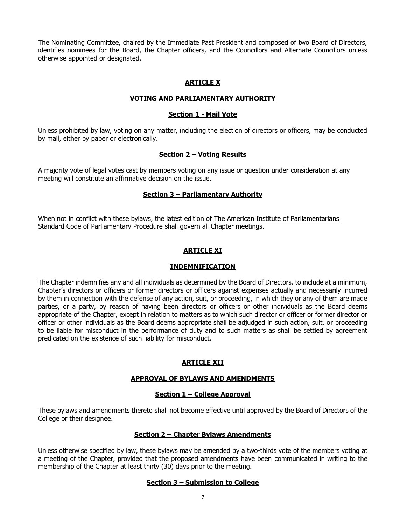The Nominating Committee, chaired by the Immediate Past President and composed of two Board of Directors, identifies nominees for the Board, the Chapter officers, and the Councillors and Alternate Councillors unless otherwise appointed or designated.

# **ARTICLE X**

### **VOTING AND PARLIAMENTARY AUTHORITY**

### **Section 1 - Mail Vote**

Unless prohibited by law, voting on any matter, including the election of directors or officers, may be conducted by mail, either by paper or electronically.

### **Section 2 – Voting Results**

A majority vote of legal votes cast by members voting on any issue or question under consideration at any meeting will constitute an affirmative decision on the issue.

# **Section 3 – Parliamentary Authority**

When not in conflict with these bylaws, the latest edition of The American Institute of Parliamentarians Standard Code of Parliamentary Procedure shall govern all Chapter meetings.

# **ARTICLE XI**

### **INDEMNIFICATION**

The Chapter indemnifies any and all individuals as determined by the Board of Directors, to include at a minimum, Chapter's directors or officers or former directors or officers against expenses actually and necessarily incurred by them in connection with the defense of any action, suit, or proceeding, in which they or any of them are made parties, or a party, by reason of having been directors or officers or other individuals as the Board deems appropriate of the Chapter, except in relation to matters as to which such director or officer or former director or officer or other individuals as the Board deems appropriate shall be adjudged in such action, suit, or proceeding to be liable for misconduct in the performance of duty and to such matters as shall be settled by agreement predicated on the existence of such liability for misconduct.

# **ARTICLE XII**

### **APPROVAL OF BYLAWS AND AMENDMENTS**

### **Section 1 – College Approval**

These bylaws and amendments thereto shall not become effective until approved by the Board of Directors of the College or their designee.

### **Section 2 – Chapter Bylaws Amendments**

Unless otherwise specified by law, these bylaws may be amended by a two-thirds vote of the members voting at a meeting of the Chapter, provided that the proposed amendments have been communicated in writing to the membership of the Chapter at least thirty (30) days prior to the meeting.

### **Section 3 – Submission to College**